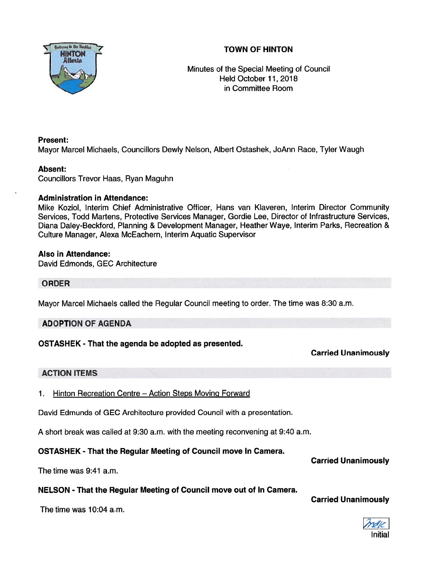# TOWN OF HINTON



Minutes of the Special Meeting of Council Held October 11, 2018 in Committee Room

## Present:

Mayor Marcel Michaels, Councillors Dewly Nelson, Albert Ostashek, JoAnn Race, Tyler Waugh

#### Absent:

Councillors Trevor Haas, Ryan Maguhn

## Administration in Attendance:

Mike Koziol, Interim Chief Administrative Officer, Hans van Klaveren, Interim Director Community Services, Todd Martens, Protective Services Manager, Gordie Lee, Director of Infrastructure Services, Diana Daley-Beckford, Planning & Development Manager, Heather Waye, Interim Parks, Recreation & Culture Manager, Alexa McEachern, Interim Aquatic Supervisor

#### Also in Attendance:

David Edmonds, GEC Architecture

#### ORDER

Mayor Marcel Michaels called the Regular Council meeting to order. The time was 8:30 a.m.

## ADOPTION OF AGENDA

## OSTASHEK - That the agenda be adopted as presented.

## Carried Unanimously

## ACTION ITEMS

1. Hinton Recreation Centre - Action Steps Moving Forward

David Edmunds of GEC Architecture provided Council with <sup>a</sup> presentation.

A short break was called at 9:30 a.m. with the meeting reconvening at 9:40 a.m.

## OSTASHEK - That the Regular Meeting of Council move In Camera.

The time was 9:41 a.m.

## NELSON - That the Regular Meeting of Council move out of In Camera.

The time was 10:04 a.m.

Carried Unanimously